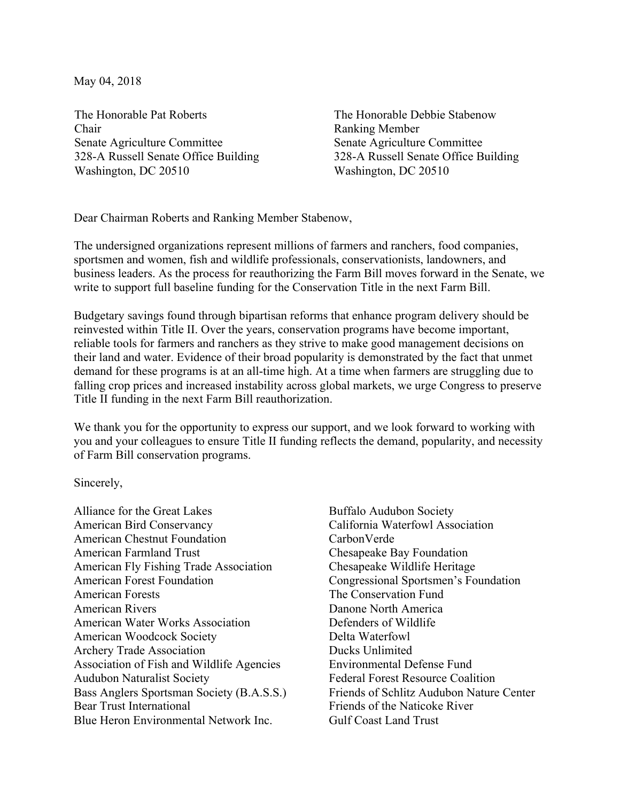May 04, 2018

The Honorable Pat Roberts Chair Senate Agriculture Committee 328-A Russell Senate Office Building Washington, DC 20510

The Honorable Debbie Stabenow Ranking Member Senate Agriculture Committee 328-A Russell Senate Office Building Washington, DC 20510

Dear Chairman Roberts and Ranking Member Stabenow,

The undersigned organizations represent millions of farmers and ranchers, food companies, sportsmen and women, fish and wildlife professionals, conservationists, landowners, and business leaders. As the process for reauthorizing the Farm Bill moves forward in the Senate, we write to support full baseline funding for the Conservation Title in the next Farm Bill.

Budgetary savings found through bipartisan reforms that enhance program delivery should be reinvested within Title II. Over the years, conservation programs have become important, reliable tools for farmers and ranchers as they strive to make good management decisions on their land and water. Evidence of their broad popularity is demonstrated by the fact that unmet demand for these programs is at an all-time high. At a time when farmers are struggling due to falling crop prices and increased instability across global markets, we urge Congress to preserve Title II funding in the next Farm Bill reauthorization.

We thank you for the opportunity to express our support, and we look forward to working with you and your colleagues to ensure Title II funding reflects the demand, popularity, and necessity of Farm Bill conservation programs.

Sincerely,

Alliance for the Great Lakes American Bird Conservancy American Chestnut Foundation American Farmland Trust American Fly Fishing Trade Association American Forest Foundation American Forests American Rivers American Water Works Association American Woodcock Society Archery Trade Association Association of Fish and Wildlife Agencies Audubon Naturalist Society Bass Anglers Sportsman Society (B.A.S.S.) Bear Trust International Blue Heron Environmental Network Inc.

Buffalo Audubon Society California Waterfowl Association CarbonVerde Chesapeake Bay Foundation Chesapeake Wildlife Heritage Congressional Sportsmen's Foundation The Conservation Fund Danone North America Defenders of Wildlife Delta Waterfowl Ducks Unlimited Environmental Defense Fund Federal Forest Resource Coalition Friends of Schlitz Audubon Nature Center Friends of the Naticoke River Gulf Coast Land Trust